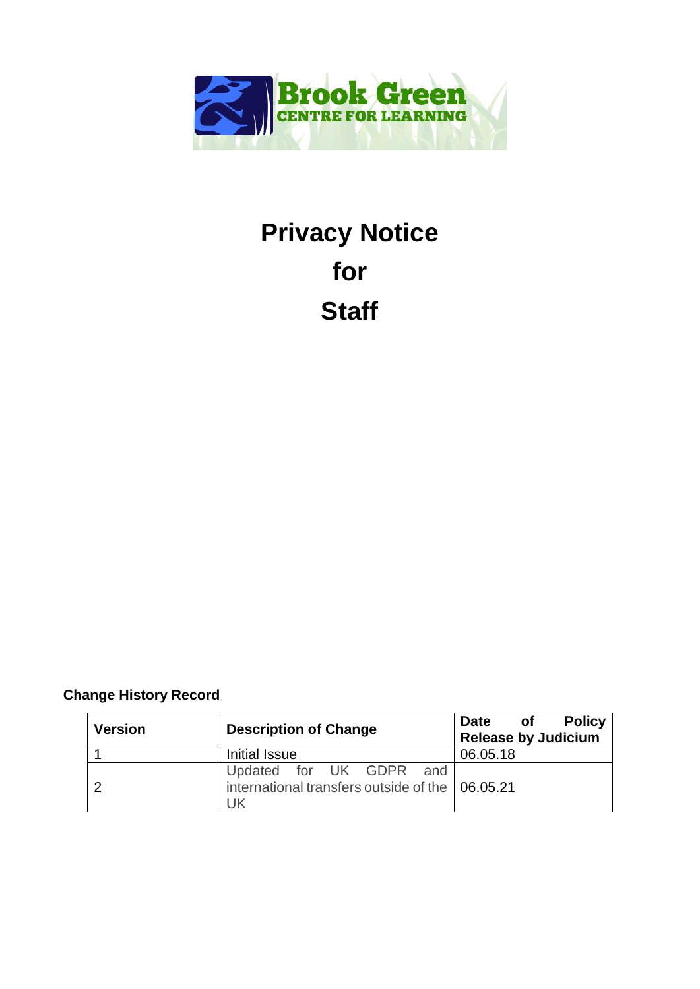

# **Privacy Notice for Staff**

# **Change History Record**

| <b>Version</b> | <b>Description of Change</b>                                                     | Date of<br><b>Policy</b><br><b>Release by Judicium</b> |
|----------------|----------------------------------------------------------------------------------|--------------------------------------------------------|
|                | Initial Issue                                                                    | 06.05.18                                               |
|                | Updated for UK GDPR and<br>international transfers outside of the 06.05.21<br>UK |                                                        |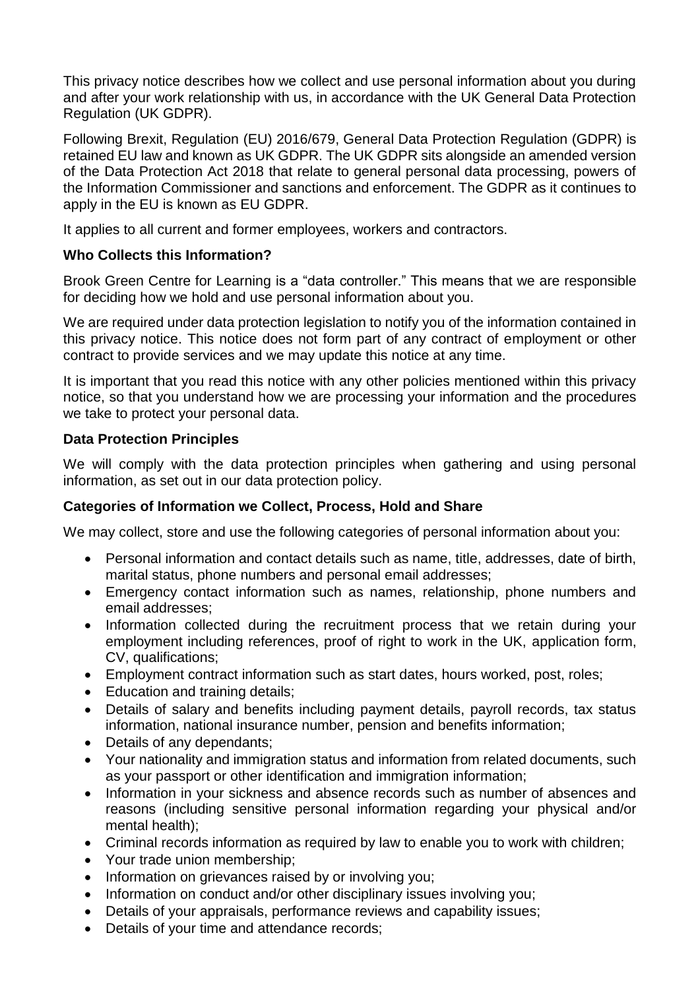This privacy notice describes how we collect and use personal information about you during and after your work relationship with us, in accordance with the UK General Data Protection Regulation (UK GDPR).

Following Brexit, Regulation (EU) 2016/679, General Data Protection Regulation (GDPR) is retained EU law and known as UK GDPR. The UK GDPR sits alongside an amended version of the Data Protection Act 2018 that relate to general personal data processing, powers of the Information Commissioner and sanctions and enforcement. The GDPR as it continues to apply in the EU is known as EU GDPR.

It applies to all current and former employees, workers and contractors.

# **Who Collects this Information?**

Brook Green Centre for Learning is a "data controller." This means that we are responsible for deciding how we hold and use personal information about you.

We are required under data protection legislation to notify you of the information contained in this privacy notice. This notice does not form part of any contract of employment or other contract to provide services and we may update this notice at any time.

It is important that you read this notice with any other policies mentioned within this privacy notice, so that you understand how we are processing your information and the procedures we take to protect your personal data.

## **Data Protection Principles**

We will comply with the data protection principles when gathering and using personal information, as set out in our data protection policy.

## **Categories of Information we Collect, Process, Hold and Share**

We may collect, store and use the following categories of personal information about you:

- Personal information and contact details such as name, title, addresses, date of birth, marital status, phone numbers and personal email addresses;
- Emergency contact information such as names, relationship, phone numbers and email addresses;
- Information collected during the recruitment process that we retain during your employment including references, proof of right to work in the UK, application form, CV, qualifications;
- Employment contract information such as start dates, hours worked, post, roles;
- Education and training details:
- Details of salary and benefits including payment details, payroll records, tax status information, national insurance number, pension and benefits information;
- Details of any dependants;
- Your nationality and immigration status and information from related documents, such as your passport or other identification and immigration information;
- Information in your sickness and absence records such as number of absences and reasons (including sensitive personal information regarding your physical and/or mental health);
- Criminal records information as required by law to enable you to work with children:
- Your trade union membership;
- Information on grievances raised by or involving you;
- Information on conduct and/or other disciplinary issues involving you;
- Details of your appraisals, performance reviews and capability issues;
- Details of your time and attendance records;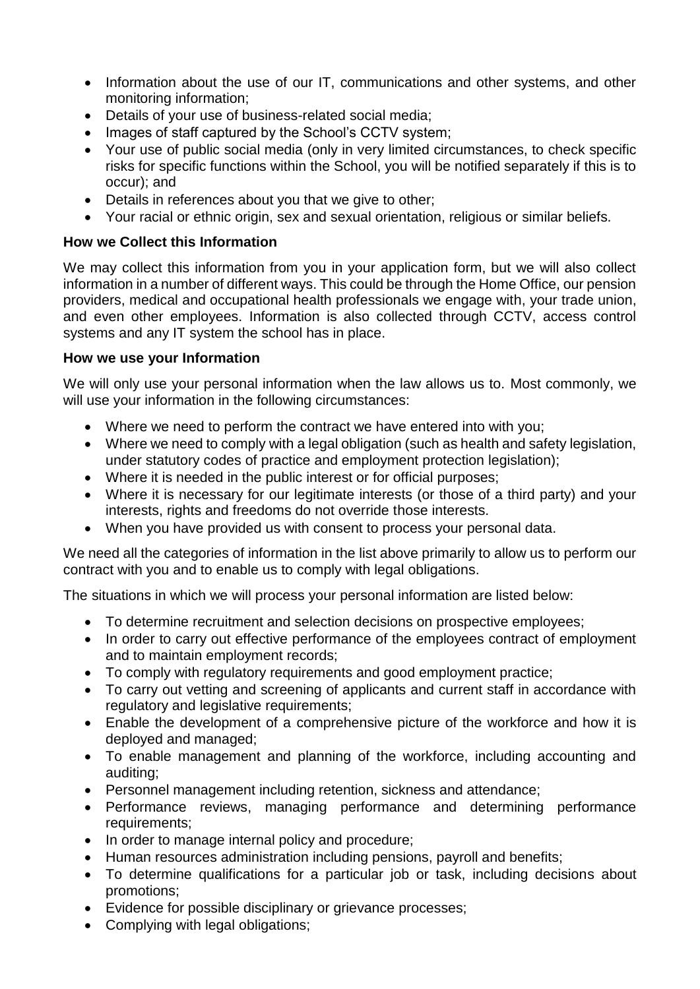- Information about the use of our IT, communications and other systems, and other monitoring information;
- Details of your use of business-related social media;
- Images of staff captured by the School's CCTV system;
- Your use of public social media (only in very limited circumstances, to check specific risks for specific functions within the School, you will be notified separately if this is to occur); and
- Details in references about you that we give to other;
- Your racial or ethnic origin, sex and sexual orientation, religious or similar beliefs.

## **How we Collect this Information**

We may collect this information from you in your application form, but we will also collect information in a number of different ways. This could be through the Home Office, our pension providers, medical and occupational health professionals we engage with, your trade union, and even other employees. Information is also collected through CCTV, access control systems and any IT system the school has in place.

## **How we use your Information**

We will only use your personal information when the law allows us to. Most commonly, we will use your information in the following circumstances:

- Where we need to perform the contract we have entered into with you;
- Where we need to comply with a legal obligation (such as health and safety legislation, under statutory codes of practice and employment protection legislation);
- Where it is needed in the public interest or for official purposes;
- Where it is necessary for our legitimate interests (or those of a third party) and your interests, rights and freedoms do not override those interests.
- When you have provided us with consent to process your personal data.

We need all the categories of information in the list above primarily to allow us to perform our contract with you and to enable us to comply with legal obligations.

The situations in which we will process your personal information are listed below:

- To determine recruitment and selection decisions on prospective employees;
- In order to carry out effective performance of the employees contract of employment and to maintain employment records;
- To comply with regulatory requirements and good employment practice;
- To carry out vetting and screening of applicants and current staff in accordance with regulatory and legislative requirements;
- Enable the development of a comprehensive picture of the workforce and how it is deployed and managed;
- To enable management and planning of the workforce, including accounting and auditing;
- Personnel management including retention, sickness and attendance;
- Performance reviews, managing performance and determining performance requirements;
- In order to manage internal policy and procedure;
- Human resources administration including pensions, payroll and benefits;
- To determine qualifications for a particular job or task, including decisions about promotions;
- Evidence for possible disciplinary or grievance processes;
- Complying with legal obligations;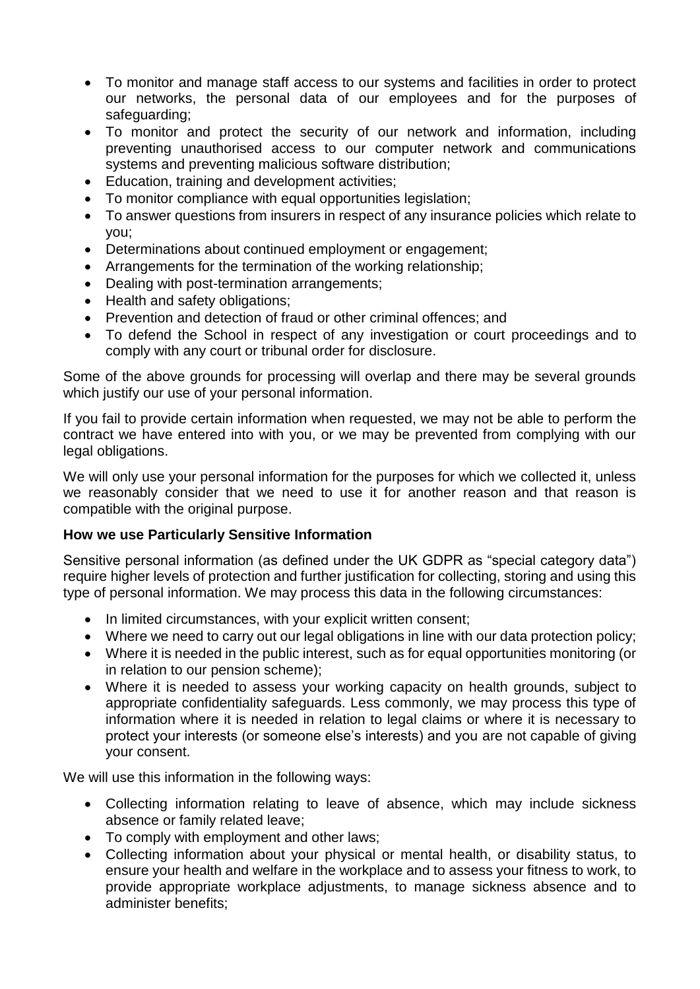- To monitor and manage staff access to our systems and facilities in order to protect our networks, the personal data of our employees and for the purposes of safeguarding;
- To monitor and protect the security of our network and information, including preventing unauthorised access to our computer network and communications systems and preventing malicious software distribution;
- Education, training and development activities;
- To monitor compliance with equal opportunities legislation;
- To answer questions from insurers in respect of any insurance policies which relate to you;
- Determinations about continued employment or engagement;
- Arrangements for the termination of the working relationship;
- Dealing with post-termination arrangements:
- Health and safety obligations;
- Prevention and detection of fraud or other criminal offences; and
- To defend the School in respect of any investigation or court proceedings and to comply with any court or tribunal order for disclosure.

Some of the above grounds for processing will overlap and there may be several grounds which justify our use of your personal information.

If you fail to provide certain information when requested, we may not be able to perform the contract we have entered into with you, or we may be prevented from complying with our legal obligations.

We will only use your personal information for the purposes for which we collected it, unless we reasonably consider that we need to use it for another reason and that reason is compatible with the original purpose.

## **How we use Particularly Sensitive Information**

Sensitive personal information (as defined under the UK GDPR as "special category data") require higher levels of protection and further justification for collecting, storing and using this type of personal information. We may process this data in the following circumstances:

- In limited circumstances, with your explicit written consent;
- Where we need to carry out our legal obligations in line with our data protection policy;
- Where it is needed in the public interest, such as for equal opportunities monitoring (or in relation to our pension scheme);
- Where it is needed to assess your working capacity on health grounds, subject to appropriate confidentiality safeguards. Less commonly, we may process this type of information where it is needed in relation to legal claims or where it is necessary to protect your interests (or someone else's interests) and you are not capable of giving your consent.

We will use this information in the following ways:

- Collecting information relating to leave of absence, which may include sickness absence or family related leave;
- To comply with employment and other laws:
- Collecting information about your physical or mental health, or disability status, to ensure your health and welfare in the workplace and to assess your fitness to work, to provide appropriate workplace adjustments, to manage sickness absence and to administer benefits;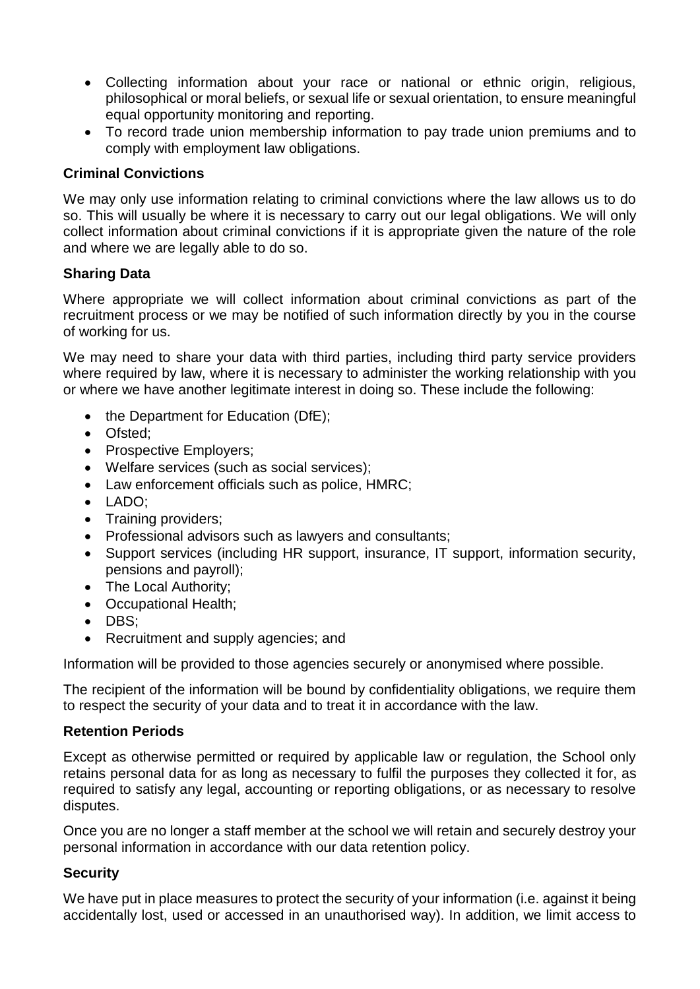- Collecting information about your race or national or ethnic origin, religious, philosophical or moral beliefs, or sexual life or sexual orientation, to ensure meaningful equal opportunity monitoring and reporting.
- To record trade union membership information to pay trade union premiums and to comply with employment law obligations.

# **Criminal Convictions**

We may only use information relating to criminal convictions where the law allows us to do so. This will usually be where it is necessary to carry out our legal obligations. We will only collect information about criminal convictions if it is appropriate given the nature of the role and where we are legally able to do so.

# **Sharing Data**

Where appropriate we will collect information about criminal convictions as part of the recruitment process or we may be notified of such information directly by you in the course of working for us.

We may need to share your data with third parties, including third party service providers where required by law, where it is necessary to administer the working relationship with you or where we have another legitimate interest in doing so. These include the following:

- $\bullet$  the Department for Education (DfE);
- Ofsted:
- Prospective Employers;
- Welfare services (such as social services);
- Law enforcement officials such as police, HMRC;
- LADO;
- Training providers;
- Professional advisors such as lawyers and consultants;
- Support services (including HR support, insurance, IT support, information security, pensions and payroll);
- The Local Authority;
- Occupational Health;
- DBS:
- Recruitment and supply agencies: and

Information will be provided to those agencies securely or anonymised where possible.

The recipient of the information will be bound by confidentiality obligations, we require them to respect the security of your data and to treat it in accordance with the law.

## **Retention Periods**

Except as otherwise permitted or required by applicable law or regulation, the School only retains personal data for as long as necessary to fulfil the purposes they collected it for, as required to satisfy any legal, accounting or reporting obligations, or as necessary to resolve disputes.

Once you are no longer a staff member at the school we will retain and securely destroy your personal information in accordance with our data retention policy.

## **Security**

We have put in place measures to protect the security of your information (i.e. against it being accidentally lost, used or accessed in an unauthorised way). In addition, we limit access to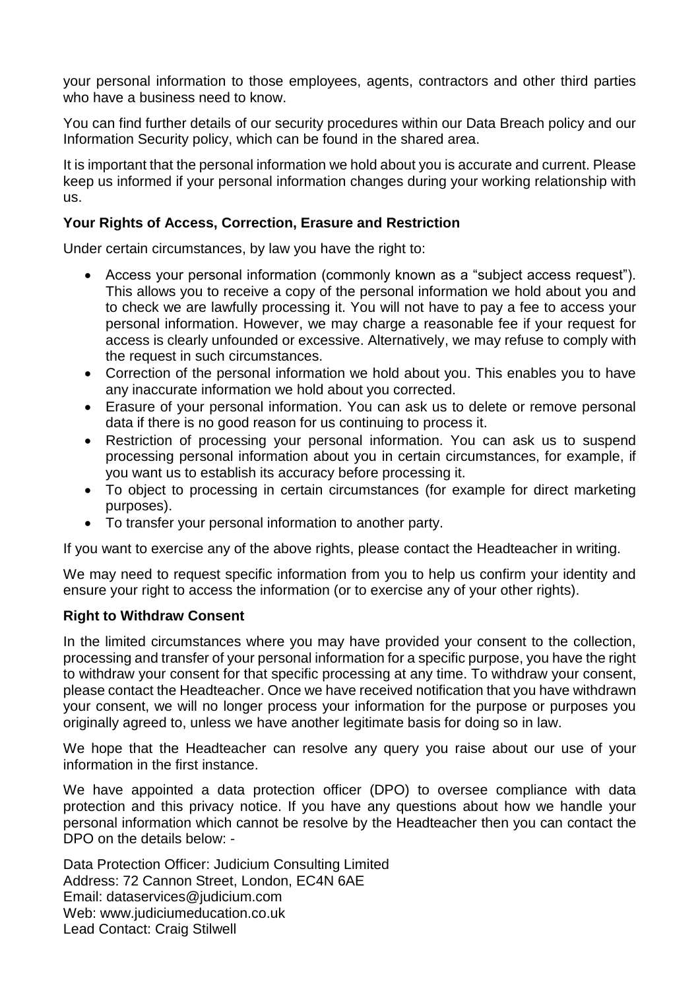your personal information to those employees, agents, contractors and other third parties who have a business need to know.

You can find further details of our security procedures within our Data Breach policy and our Information Security policy, which can be found in the shared area.

It is important that the personal information we hold about you is accurate and current. Please keep us informed if your personal information changes during your working relationship with us.

# **Your Rights of Access, Correction, Erasure and Restriction**

Under certain circumstances, by law you have the right to:

- Access your personal information (commonly known as a "subject access request"). This allows you to receive a copy of the personal information we hold about you and to check we are lawfully processing it. You will not have to pay a fee to access your personal information. However, we may charge a reasonable fee if your request for access is clearly unfounded or excessive. Alternatively, we may refuse to comply with the request in such circumstances.
- Correction of the personal information we hold about you. This enables you to have any inaccurate information we hold about you corrected.
- Erasure of your personal information. You can ask us to delete or remove personal data if there is no good reason for us continuing to process it.
- Restriction of processing your personal information. You can ask us to suspend processing personal information about you in certain circumstances, for example, if you want us to establish its accuracy before processing it.
- To object to processing in certain circumstances (for example for direct marketing purposes).
- To transfer your personal information to another party.

If you want to exercise any of the above rights, please contact the Headteacher in writing.

We may need to request specific information from you to help us confirm your identity and ensure your right to access the information (or to exercise any of your other rights).

## **Right to Withdraw Consent**

In the limited circumstances where you may have provided your consent to the collection, processing and transfer of your personal information for a specific purpose, you have the right to withdraw your consent for that specific processing at any time. To withdraw your consent, please contact the Headteacher. Once we have received notification that you have withdrawn your consent, we will no longer process your information for the purpose or purposes you originally agreed to, unless we have another legitimate basis for doing so in law.

We hope that the Headteacher can resolve any query you raise about our use of your information in the first instance.

We have appointed a data protection officer (DPO) to oversee compliance with data protection and this privacy notice. If you have any questions about how we handle your personal information which cannot be resolve by the Headteacher then you can contact the DPO on the details below: -

Data Protection Officer: Judicium Consulting Limited Address: 72 Cannon Street, London, EC4N 6AE Email: [dataservices@judicium.com](mailto:dataservices@judicium.com) Web: www.judiciumeducation.co.uk Lead Contact: Craig Stilwell